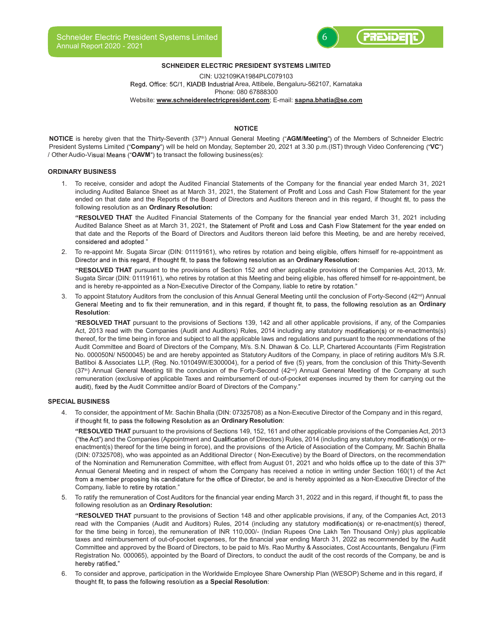

# SCHNEIDER ELECTRIC PRESIDENT SYSTEMS LIMITED

CIN: U32109KA1984PLC079103 Regd. Office: 5C/1, KIADB Industrial Area, Attibele, Bengaluru-562107, Karnataka Phone: 080 67888300 Website: www.schneiderelectricpresident.com; E-mail: sapna.bhatia@se.com

### NOTICE **NOTICE**

NOTICE is hereby given that the Thirty-Seventh (37<sup>th</sup>) Annual General Meeting ("AGM/Meeting") of the Members of Schneider Electric President Systems Limited ("Company") will be held on Monday, September 20, 2021 at 3.30 p.m.(IST) through Video Conferencing ("VC") / Other Audio-Visual Means ("OAVM") to transact the following business(es):

# ORDINARY BUSINESS

1. To receive, consider and adopt the Audited Financial Statements of the Company for the financial year ended March 31, 2021 including Audited Balance Sheet as at March 31, 2021, the Statement of Profit and Loss and Cash Flow Statement for the year ended on that date and the Reports of the Board of Directors and Auditors thereon and in this regard, if thought fit, to pass the following resolution as an Ordinary Resolution:

"RESOLVED THAT the Audited Financial Statements of the Company for the financial year ended March 31, 2021 including Audited Balance Sheet as at March 31, 2021, the Statement of Profit and Loss and Cash Flow Statement for the year ended on that date and the Reports of the Board of Directors and Auditors thereon laid before this Meeting, be and are hereby received, considered and adopted."

2. To re-appoint Mr. Sugata Sircar (DIN: 01119161), who retires by rotation and being eligible, offers himself for re-appointment as Director and in this regard, if thought fit, to pass the following resolution as an Ordinary Resolution:

"RESOLVED THAT pursuant to the provisions of Section 152 and other applicable provisions of the Companies Act, 2013, Mr. Sugata Sircar (DIN: 01119161), who retires by rotation at this Meeting and being eligible, has offered himself for re-appointment, be and is hereby re-appointed as a Non-Executive Director of the Company, liable to retire by rotation."

To appoint Statutory Auditors from the conclusion of this Annual General Meeting until the conclusion of Forty-Second (42<sup>nd</sup>) Annual General Meeting and to fix their remuneration, and in this regard, if thought fit, to pass, the following resolution as an Ordinary Resolution:

"RESOLVED THAT pursuant to the provisions of Sections 139, 142 and all other applicable provisions, if any, of the Companies Act, 2013 read with the Companies (Audit and Auditors) Rules, 2014 including any statutory modification(s) or re-enactments(s) thereof, for the time being in force and subject to all the applicable laws and regulations and pursuant to the recommendations of the Audit Committee and Board of Directors of the Company, M/s. S.N. Dhawan & Co. LLP, Chartered Accountants (Firm Registration No. 000050N/ N500045) be and are hereby appointed as Statutory Auditors of the Company, in place of retiring auditors M/s S.R. Batliboi & Associates LLP, (Reg. No.101049W/E300004), for a period of five (5) years, from the conclusion of this Thirty-Seventh (37<sup>th</sup>) Annual General Meeting till the conclusion of the Forty-Second (42<sup>nd</sup>) Annual General Meeting of the Company at such remuneration (exclusive of applicable Taxes and reimbursement of out-of-pocket expenses incurred by them for carrying out the audit), fixed by the Audit Committee and/or Board of Directors of the Company."

### SPECIAL BUSINESS

4. To consider, the appointment of Mr. Sachin Bhalla (DIN: 07325708) as a Non-Executive Director of the Company and in this regard, if thought fit, to pass the following Resolution as an Ordinary Resolution:

"RESOLVED THAT pursuant to the provisions of Sections 149, 152, 161 and other applicable provisions of the Companies Act, 2013 ("the Act") and the Companies (Appointment and Qualification of Directors) Rules, 2014 (including any statutory modification(s) or reenactment(s) thereof for the time being in force), and the provisions of the Article of Association of the Company, Mr. Sachin Bhalla (DIN: 07325708), who was appointed as an Additional Director ( Non-Executive) by the Board of Directors, on the recommendation of the Nomination and Remuneration Committee, with effect from August 01, 2021 and who holds office up to the date of this 37<sup>th</sup> Annual General Meeting and in respect of whom the Company has received a notice in writing under Section 160(1) of the Act from a member proposing his candidature for the office of Director, be and is hereby appointed as a Non-Executive Director of the Company, liable to retire by rotation."

5. To ratify the remuneration of Cost Auditors for the financial year ending March 31, 2022 and in this regard, if thought fit, to pass the following resolution as an Ordinary Resolution:

"RESOLVED THAT pursuant to the provisions of Section 148 and other applicable provisions, if any, of the Companies Act, 2013 read with the Companies (Audit and Auditors) Rules, 2014 (including any statutory modification(s) or re-enactment(s) thereof, for the time being in force), the remuneration of INR 110,000/- (Indian Rupees One Lakh Ten Thousand Only) plus applicable taxes and reimbursement of out-of-pocket expenses, for the financial year ending March 31, 2022 as recommended by the Audit Committee and approved by the Board of Directors, to be paid to M/s. Rao Murthy & Associates, Cost Accountants, Bengaluru (Firm Registration No. 000065), appointed by the Board of Directors, to conduct the audit of the cost records of the Company, be and is hereby ratified."

6. To consider and approve, participation in the Worldwide Employee Share Ownership Plan (WESOP) Scheme and in this regard, if thought fit, to pass the following resolution as a Special Resolution: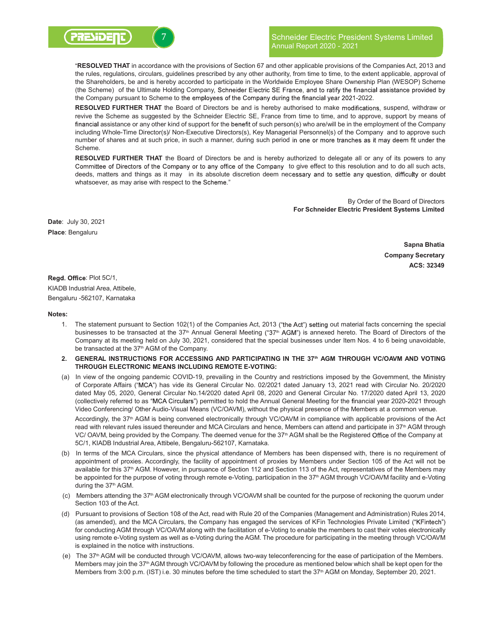

# Schneider Electric President Systems Limited Annual Report 2020 - 2021

"RESOLVED THAT in accordance with the provisions of Section 67 and other applicable provisions of the Companies Act, 2013 and the rules, regulations, circulars, guidelines prescribed by any other authority, from time to time, to the extent applicable, approval of the Shareholders, be and is hereby accorded to participate in the Worldwide Employee Share Ownership Plan (WESOP) Scheme (the Scheme) of the Ultimate Holding Company, Schneider Electric SE France, and to ratify the financial assistance provided by the Company pursuant to Scheme to the employees of the Company during the financial year 2021-2022.

RESOLVED FURTHER THAT the Board of Directors be and is hereby authorised to make modifications, suspend, withdraw or revive the Scheme as suggested by the Schneider Electric SE, France from time to time, and to approve, support by means of financial assistance or any other kind of support for the benefit of such person(s) who are/will be in the employment of the Company including Whole-Time Director(s)/ Non-Executive Directors(s), Key Managerial Personnel(s) of the Company and to approve such number of shares and at such price, in such a manner, during such period in one or more tranches as it may deem fit under the Scheme.

RESOLVED FURTHER THAT the Board of Directors be and is hereby authorized to delegate all or any of its powers to any Committee of Directors of the Company or to any office of the Company to give effect to this resolution and to do all such acts, deeds, matters and things as it may in its absolute discretion deem necessary and to settle any question, difficulty or doubt whatsoever, as may arise with respect to the Scheme."

> By Order of the Board of Directors For Schneider Electric President Systems Limited

Date: July 30, 2021 Place: Bengaluru

> Sapna Bhatia Company Secretary ACS: 32349

Regd. Office: Plot 5C/1, KIADB Industrial Area, Attibele,

Bengaluru -562107, Karnataka

Notes:

- 1. The statement pursuant to Section 102(1) of the Companies Act, 2013 ("the Act") setting out material facts concerning the special businesses to be transacted at the 37<sup>th</sup> Annual General Meeting ("37<sup>th</sup> AGM") is annexed hereto. The Board of Directors of the Company at its meeting held on July 30, 2021, considered that the special businesses under Item Nos. 4 to 6 being unavoidable, be transacted at the 37<sup>th</sup> AGM of the Company.
- 2. GENERAL INSTRUCTIONS FOR ACCESSING AND PARTICIPATING IN THE 37<sup>th</sup> AGM THROUGH VC/OAVM AND VOTING THROUGH ELECTRONIC MEANS INCLUDING REMOTE E-VOTING:
- (a) In view of the ongoing pandemic COVID-19, prevailing in the Country and restrictions imposed by the Government, the Ministry of Corporate Affairs ("MCA") has vide its General Circular No. 02/2021 dated January 13, 2021 read with Circular No. 20/2020 dated May 05, 2020, General Circular No.14/2020 dated April 08, 2020 and General Circular No. 17/2020 dated April 13, 2020 (collectively referred to as "MCA Circulars") permitted to hold the Annual General Meeting for the financial year 2020-2021 through Video Conferencing/ Other Audio-Visual Means (VC/OAVM), without the physical presence of the Members at a common venue.

Accordingly, the 37<sup>th</sup> AGM is being convened electronically through VC/OAVM in compliance with applicable provisions of the Act read with relevant rules issued thereunder and MCA Circulars and hence, Members can attend and participate in 37<sup>th</sup> AGM through VC/ OAVM, being provided by the Company. The deemed venue for the 37<sup>th</sup> AGM shall be the Registered Office of the Company at 5C/1, KIADB Industrial Area, Attibele, Bengaluru-562107, Karnataka.

- (b) In terms of the MCA Circulars, since the physical attendance of Members has been dispensed with, there is no requirement of appointment of proxies. Accordingly, the facility of appointment of proxies by Members under Section 105 of the Act will not be available for this 37<sup>th</sup> AGM. However, in pursuance of Section 112 and Section 113 of the Act, representatives of the Members may be appointed for the purpose of voting through remote e-Voting, participation in the 37<sup>th</sup> AGM through VC/OAVM facility and e-Voting during the 37<sup>th</sup> AGM.
- (c) Members attending the 37th AGM electronically through VC/OAVM shall be counted for the purpose of reckoning the quorum under Section 103 of the Act.
- (d) Pursuant to provisions of Section 108 of the Act, read with Rule 20 of the Companies (Management and Administration) Rules 2014, (as amended), and the MCA Circulars, the Company has engaged the services of KFin Technologies Private Limited ("KFintech") for conducting AGM through VC/OAVM along with the facilitation of e-Voting to enable the members to cast their votes electronically using remote e-Voting system as well as e-Voting during the AGM. The procedure for participating in the meeting through VC/OAVM is explained in the notice with instructions.
- (e) The 37th AGM will be conducted through VC/OAVM, allows two-way teleconferencing for the ease of participation of the Members. Members may join the 37<sup>th</sup> AGM through VC/OAVM by following the procedure as mentioned below which shall be kept open for the Members from 3:00 p.m. (IST) i.e. 30 minutes before the time scheduled to start the 37<sup>th</sup> AGM on Monday, September 20, 2021.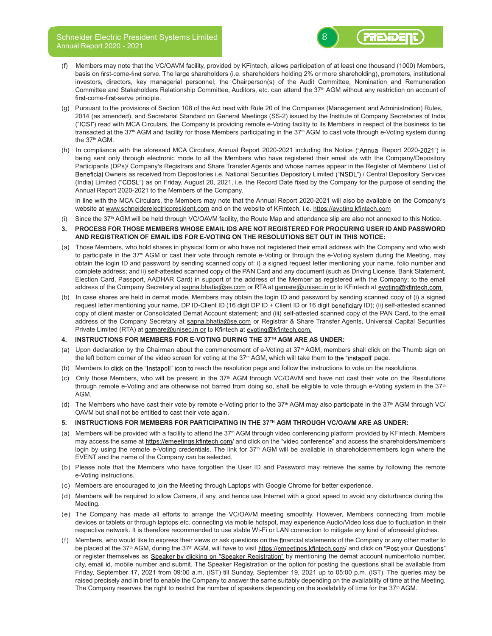

- (f) Members may note that the VC/OAVM facility, provided by KFintech, allows participation of at least one thousand (1000) Members, basis on first-come-first serve. The large shareholders (i.e. shareholders holding 2% or more shareholding), promoters, institutional investors, directors, key managerial personnel, the Chairperson(s) of the Audit Committee, Nomination and Remuneration Committee and Stakeholders Relationship Committee, Auditors, etc. can attend the 37<sup>th</sup> AGM without any restriction on account of first-come-first-serve principle.
- (g) Pursuant to the provisions of Section 108 of the Act read with Rule 20 of the Companies (Management and Administration) Rules, 2014 (as amended), and Secretarial Standard on General Meetings (SS-2) issued by the Institute of Company Secretaries of India ("ICSI") read with MCA Circulars, the Company is providing remote e-Voting facility to its Members in respect of the business to be transacted at the 37<sup>th</sup> AGM and facility for those Members participating in the 37<sup>th</sup> AGM to cast vote through e-Voting system during the 37<sup>th</sup> AGM.
- (h) In compliance with the aforesaid MCA Circulars, Annual Report 2020-2021 including the Notice ("Annual Report 2020-2021") is being sent only through electronic mode to all the Members who have registered their email ids with the Company/Depository Participants (DPs)/ Company's Registrars and Share Transfer Agents and whose names appear in the Register of Members/ List of Beneficial Owners as received from Depositories i.e. National Securities Depository Limited ("NSDL") / Central Depository Services (India) Limited ("CDSL") as on Friday, August 20, 2021, i.e. the Record Date fixed by the Company for the purpose of sending the Annual Report 2020-2021 to the Members of the Company.

In line with the MCA Circulars, the Members may note that the Annual Report 2020-2021 will also be available on the Company's website at www.schneiderelectricpresident.com and on the website of KFintech, i.e. https://evoting.kfintech.com

- (i) Since the 37<sup>th</sup> AGM will be held through VC/OAVM facility, the Route Map and attendance slip are also not annexed to this Notice.
- 3. PROCESS FOR THOSE MEMBERS WHOSE EMAIL IDS ARE NOT REGISTERED FOR PROCURING USER ID AND PASSWORD AND REGISTRATION OF EMAIL IDS FOR E-VOTING ON THE RESOLUTIONS SET OUT IN THIS NOTICE:
- (a) Those Members, who hold shares in physical form or who have not registered their email address with the Company and who wish to participate in the 37<sup>th</sup> AGM or cast their vote through remote e-Voting or through the e-Voting system during the Meeting, may obtain the login ID and password by sending scanned copy of: i) a signed request letter mentioning your name, folio number and complete address; and ii) self-attested scanned copy of the PAN Card and any document (such as Driving License, Bank Statement, Election Card, Passport, AADHAR Card) in support of the address of the Member as registered with the Company; to the email address of the Company Secretary at sapna.bhatia@se.com or RTA at gamare@unisec.in or to KFintech at evoting@kfintech.com.
- (b) In case shares are held in demat mode, Members may obtain the login ID and password by sending scanned copy of (i) a signed request letter mentioning your name, DP ID-Client ID (16 digit DP ID + Client ID or 16 digit beneficiary ID); (ii) self-attested scanned copy of client master or Consolidated Demat Account statement; and (iii) self-attested scanned copy of the PAN Card, to the email address of the Company Secretary at sapna.bhatia@se.com or Registrar & Share Transfer Agents, Universal Capital Securities Private Limited (RTA) at gamare@unisec.in or to Kfintech at evoting@kfintech.com.
- 4. INSTRUCTIONS FOR MEMBERS FOR E-VOTING DURING THE 37TH AGM ARE AS UNDER:
- (a) Upon declaration by the Chairman about the commencement of e-Voting at  $37<sup>th</sup>$  AGM, members shall click on the Thumb sign on the left bottom corner of the video screen for voting at the 37<sup>th</sup> AGM, which will take them to the "instapoll' page.
- (b) Members to click on the "Instapoll" icon to reach the resolution page and follow the instructions to vote on the resolutions.
- (c) Only those Members, who will be present in the 37<sup>th</sup> AGM through VC/OAVM and have not cast their vote on the Resolutions through remote e-Voting and are otherwise not barred from doing so, shall be eligible to vote through e-Voting system in the  $37<sup>th</sup>$ AGM.
- (d) The Members who have cast their vote by remote e-Voting prior to the 37<sup>th</sup> AGM may also participate in the 37<sup>th</sup> AGM through VC/ OAVM but shall not be entitled to cast their vote again.
- 5. INSTRUCTIONS FOR MEMBERS FOR PARTICIPATING IN THE 37TH AGM THROUGH VC/OAVM ARE AS UNDER:
- (a) Members will be provided with a facility to attend the 37<sup>th</sup> AGM through video conferencing platform provided by KFintech. Members may access the same at https://emeetings.kfintech.com/ and click on the "video conference" and access the shareholders/members login by using the remote e-Voting credentials. The link for 37<sup>th</sup> AGM will be available in shareholder/members login where the EVENT and the name of the Company can be selected.
- (b) Please note that the Members who have forgotten the User ID and Password may retrieve the same by following the remote e-Voting instructions.
- (c) Members are encouraged to join the Meeting through Laptops with Google Chrome for better experience.
- (d) Members will be required to allow Camera, if any, and hence use Internet with a good speed to avoid any disturbance during the Meeting.
- (e) The Company has made all efforts to arrange the VC/OAVM meeting smoothly. However, Members connecting from mobile devices or tablets or through laptops etc. connecting via mobile hotspot, may experience Audio/Video loss due to fluctuation in their respective network. It is therefore recommended to use stable Wi-Fi or LAN connection to mitigate any kind of aforesaid glitches.
- (f) Members, who would like to express their views or ask questions on the financial statements of the Company or any other matter to be placed at the 37<sup>th</sup> AGM, during the 37<sup>th</sup> AGM, will have to visit https://emeetings.kfintech.com/ and click on "Post your Questions" or register themselves as Speaker by clicking on "Speaker Registration" by mentioning the demat account number/folio number, city, email id, mobile number and submit. The Speaker Registration or the option for posting the questions shall be available from Friday, September 17, 2021 from 09:00 a.m. (IST) till Sunday, September 19, 2021 up to 05:00 p.m. (IST). The queries may be raised precisely and in brief to enable the Company to answer the same suitably depending on the availability of time at the Meeting. The Company reserves the right to restrict the number of speakers depending on the availability of time for the 37<sup>th</sup> AGM.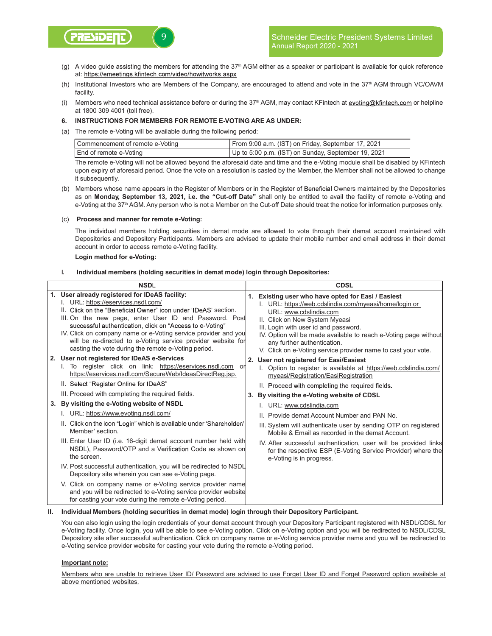

- (g) A video guide assisting the members for attending the 37<sup>th</sup> AGM either as a speaker or participant is available for quick reference at: https://emeetings.kfintech.com/video/howitworks.aspx
- (h) Institutional Investors who are Members of the Company, are encouraged to attend and vote in the 37<sup>th</sup> AGM through VC/OAVM facility.
- (i) Members who need technical assistance before or during the 37<sup>th</sup> AGM, may contact KFintech at evoting@kfintech.com or helpline at 1800 309 4001 (toll free).

### 6. INSTRUCTIONS FOR MEMBERS FOR REMOTE E-VOTING ARE AS UNDER:

(a) The remote e-Voting will be available during the following period:

| Commencement of remote e-Voting | From 9:00 a.m. (IST) on Friday, September 17, 2021  |
|---------------------------------|-----------------------------------------------------|
| End of remote e-Voting          | Up to 5:00 p.m. (IST) on Sunday, September 19, 2021 |

The remote e-Voting will not be allowed beyond the aforesaid date and time and the e-Voting module shall be disabled by KFintech upon expiry of aforesaid period. Once the vote on a resolution is casted by the Member, the Member shall not be allowed to change it subsequently.

(b) Members whose name appears in the Register of Members or in the Register of Beneficial Owners maintained by the Depositories as on Monday, September 13, 2021, i.e. the "Cut-off Date" shall only be entitled to avail the facility of remote e-Voting and e-Voting at the 37<sup>th</sup> AGM. Any person who is not a Member on the Cut-off Date should treat the notice for information purposes only.

### (c) Process and manner for remote e-Voting:

The individual members holding securities in demat mode are allowed to vote through their demat account maintained with Depositories and Depository Participants. Members are advised to update their mobile number and email address in their demat account in order to access remote e-Voting facility.

Login method for e-Voting:

# I. Individual members (holding securities in demat mode) login through Depositories:

| <b>NSDI</b> |                                                                                                                                                                                                                                                                                                                                                                                                                                                                                                                        |    | CDSL                                                                                                                                                                                                                                                                                                                                                                                                                             |  |
|-------------|------------------------------------------------------------------------------------------------------------------------------------------------------------------------------------------------------------------------------------------------------------------------------------------------------------------------------------------------------------------------------------------------------------------------------------------------------------------------------------------------------------------------|----|----------------------------------------------------------------------------------------------------------------------------------------------------------------------------------------------------------------------------------------------------------------------------------------------------------------------------------------------------------------------------------------------------------------------------------|--|
|             | 1. User already registered for IDeAS facility:<br>I. URL: https://eservices.nsdl.com/<br>II. Click on the "Beneficial Owner" icon under 'IDeAS' section.<br>III. On the new page, enter User ID and Password. Post<br>successful authentication, click on "Access to e-Voting"<br>IV. Click on company name or e-Voting service provider and you<br>will be re-directed to e-Voting service provider website for<br>casting the vote during the remote e-Voting period.<br>2. User not registered for IDeAS e-Services |    | 1. Existing user who have opted for Easi / Easiest<br>I. URL: https://web.cdslindia.com/myeasi/home/login or<br>URL: www.cdslindia.com<br>II. Click on New System Myeasi<br>III. Login with user id and password.<br>IV. Option will be made available to reach e-Voting page without<br>any further authentication.<br>V. Click on e-Voting service provider name to cast your vote.<br>2. User not registered for Easi/Easiest |  |
|             | I. To register click on link: https://eservices.nsdl.com<br>or<br>https://eservices.nsdl.com/SecureWeb/IdeasDirectReg.jsp.<br>II. Select "Register Online for IDeAS"<br>III. Proceed with completing the required fields.                                                                                                                                                                                                                                                                                              | 3. | Option to register is available at https://web.cdslindia.com/<br>myeasi/Registration/EasiRegistration<br>II. Proceed with completing the required fields.<br>By visiting the e-Voting website of CDSL                                                                                                                                                                                                                            |  |
|             | 3. By visiting the e-Voting website of NSDL                                                                                                                                                                                                                                                                                                                                                                                                                                                                            |    | I. URL: www.cdslindia.com                                                                                                                                                                                                                                                                                                                                                                                                        |  |
|             | I. URL: https://www.evoting.nsdl.com/                                                                                                                                                                                                                                                                                                                                                                                                                                                                                  |    | II. Provide demat Account Number and PAN No.                                                                                                                                                                                                                                                                                                                                                                                     |  |
|             | II. Click on the icon "Login" which is available under 'Shareholder/<br>Member' section.                                                                                                                                                                                                                                                                                                                                                                                                                               |    | III. System will authenticate user by sending OTP on registered<br>Mobile & Email as recorded in the demat Account.                                                                                                                                                                                                                                                                                                              |  |
|             | III. Enter User ID (i.e. 16-digit demat account number held with<br>NSDL), Password/OTP and a Verification Code as shown on<br>the screen.                                                                                                                                                                                                                                                                                                                                                                             |    | IV. After successful authentication, user will be provided links<br>for the respective ESP (E-Voting Service Provider) where the<br>e-Voting is in progress.                                                                                                                                                                                                                                                                     |  |
|             | IV. Post successful authentication, you will be redirected to NSDL<br>Depository site wherein you can see e-Voting page.                                                                                                                                                                                                                                                                                                                                                                                               |    |                                                                                                                                                                                                                                                                                                                                                                                                                                  |  |
|             | V. Click on company name or e-Voting service provider name<br>and you will be redirected to e-Voting service provider website<br>for casting your vote during the remote e-Voting period.                                                                                                                                                                                                                                                                                                                              |    |                                                                                                                                                                                                                                                                                                                                                                                                                                  |  |

# II. Individual Members (holding securities in demat mode) login through their Depository Participant.

You can also login using the login credentials of your demat account through your Depository Participant registered with NSDL/CDSL for e-Voting facility. Once login, you will be able to see e-Voting option. Click on e-Voting option and you will be redirected to NSDL/CDSL Depository site after successful authentication. Click on company name or e-Voting service provider name and you will be redirected to e-Voting service provider website for casting your vote during the remote e-Voting period.

### Important note:

Members who are unable to retrieve User ID/ Password are advised to use Forget User ID and Forget Password option available at above mentioned websites.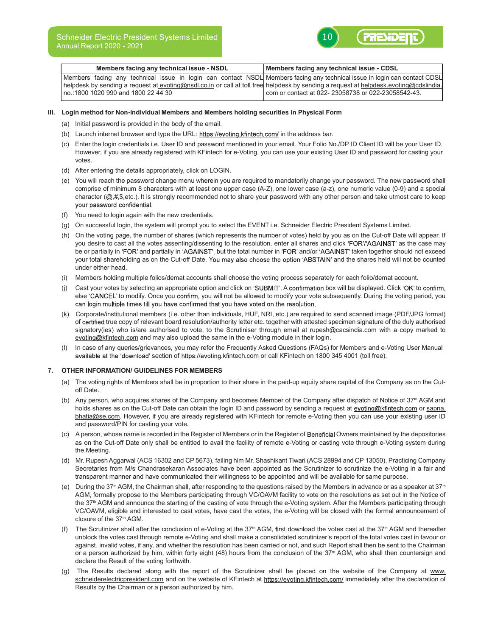

| Members facing any technical issue - NSDL                                                                                             | Members facing any technical issue - CDSL             |
|---------------------------------------------------------------------------------------------------------------------------------------|-------------------------------------------------------|
| Members facing any technical issue in login can contact NSDL Members facing any technical issue in login can contact CDSL             |                                                       |
| helpdesk by sending a request at evoting@nsdl.co.in or call at toll free helpdesk by sending a request at helpdesk.evoting@cdslindia. |                                                       |
| no.:1800 1020 990 and 1800 22 44 30                                                                                                   | l com or contact at 022- 23058738 or 022-23058542-43. |

#### III. Login method for Non-Individual Members and Members holding securities in Physical Form

- (a) Initial password is provided in the body of the email.
- (b) Launch internet browser and type the URL: https://evoting.kfintech.com/ in the address bar.
- (c) Enter the login credentials i.e. User ID and password mentioned in your email. Your Folio No./DP ID Client ID will be your User ID. However, if you are already registered with KFintech for e-Voting, you can use your existing User ID and password for casting your votes.
- (d) After entering the details appropriately, click on LOGIN.
- (e) You will reach the password change menu wherein you are required to mandatorily change your password. The new password shall comprise of minimum 8 characters with at least one upper case (A-Z), one lower case (a-z), one numeric value (0-9) and a special character  $(Q, \#, \$$ , etc.). It is strongly recommended not to share your password with any other person and take utmost care to keep your password confidential.
- (f) You need to login again with the new credentials.
- (g) On successful login, the system will prompt you to select the EVENT i.e. Schneider Electric President Systems Limited.
- (h) On the voting page, the number of shares (which represents the number of votes) held by you as on the Cut-off Date will appear. If you desire to cast all the votes assenting/dissenting to the resolution, enter all shares and click 'FOR'/'AGAINST' as the case may be or partially in 'FOR' and partially in 'AGAINST', but the total number in 'FOR' and/or 'AGAINST' taken together should not exceed your total shareholding as on the Cut-off Date. You may also choose the option 'ABSTAIN' and the shares held will not be counted under either head.
- (i) Members holding multiple folios/demat accounts shall choose the voting process separately for each folio/demat account.
- (j) Cast your votes by selecting an appropriate option and click on 'SUBMIT'. A confirmation box will be displayed. Click 'OK' to confirm, else 'CANCEL' to modify. Once you confirm, you will not be allowed to modify your vote subsequently. During the voting period, you can login multiple times till you have confirmed that you have voted on the resolution.
- (k) Corporate/institutional members (i.e. other than individuals, HUF, NRI, etc.) are required to send scanned image (PDF/JPG format) of certified true copy of relevant board resolution/authority letter etc. together with attested specimen signature of the duly authorised signatory(ies) who is/are authorised to vote, to the Scrutiniser through email at rupesh@cacsindia.com with a copy marked to evoting@kfintech.com and may also upload the same in the e-Voting module in their login.
- (l) In case of any queries/grievances, you may refer the Frequently Asked Questions (FAQs) for Members and e-Voting User Manual available at the 'download' section of https://evoting.kfintech.com or call KFintech on 1800 345 4001 (toll free).

#### 7. OTHER INFORMATION/ GUIDELINES FOR MEMBERS

- (a) The voting rights of Members shall be in proportion to their share in the paid-up equity share capital of the Company as on the Cutoff Date.
- (b) Any person, who acquires shares of the Company and becomes Member of the Company after dispatch of Notice of 37<sup>th</sup> AGM and holds shares as on the Cut-off Date can obtain the login ID and password by sending a request at evoting@kfintech.com or sapna. bhatia@se.com. However, if you are already registered with KFintech for remote e-Voting then you can use your existing user ID and password/PIN for casting your vote.
- (c) A person, whose name is recorded in the Register of Members or in the Register of Beneficial Owners maintained by the depositories as on the Cut-off Date only shall be entitled to avail the facility of remote e-Voting or casting vote through e-Voting system during the Meeting.
- (d) Mr. Rupesh Aggarwal (ACS 16302 and CP 5673), failing him Mr. Shashikant Tiwari (ACS 28994 and CP 13050), Practicing Company Secretaries from M/s Chandrasekaran Associates have been appointed as the Scrutinizer to scrutinize the e-Voting in a fair and transparent manner and have communicated their willingness to be appointed and will be available for same purpose.
- (e) During the 37<sup>th</sup> AGM, the Chairman shall, after responding to the questions raised by the Members in advance or as a speaker at 37<sup>th</sup> AGM, formally propose to the Members participating through VC/OAVM facility to vote on the resolutions as set out in the Notice of the 37<sup>th</sup> AGM and announce the starting of the casting of vote through the e-Voting system. After the Members participating through VC/OAVM, eligible and interested to cast votes, have cast the votes, the e-Voting will be closed with the formal announcement of closure of the 37<sup>th</sup> AGM.
- (f) The Scrutinizer shall after the conclusion of e-Voting at the  $37<sup>th</sup>$  AGM, first download the votes cast at the  $37<sup>th</sup>$  AGM and thereafter unblock the votes cast through remote e-Voting and shall make a consolidated scrutinizer's report of the total votes cast in favour or against, invalid votes, if any, and whether the resolution has been carried or not, and such Report shall then be sent to the Chairman or a person authorized by him, within forty eight (48) hours from the conclusion of the 37<sup>th</sup> AGM, who shall then countersign and declare the Result of the voting forthwith.
- (g) The Results declared along with the report of the Scrutinizer shall be placed on the website of the Company at www. schneiderelectricpresident.com and on the website of KFintech at https://evoting.kfintech.com/ immediately after the declaration of Results by the Chairman or a person authorized by him.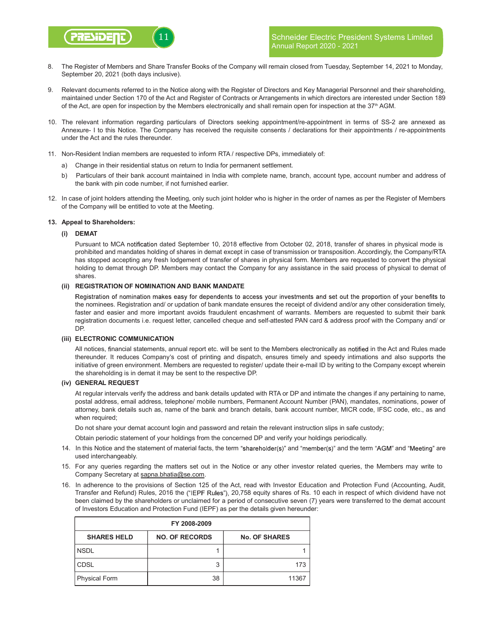

- 8. The Register of Members and Share Transfer Books of the Company will remain closed from Tuesday, September 14, 2021 to Monday, September 20, 2021 (both days inclusive).
- 9. Relevant documents referred to in the Notice along with the Register of Directors and Key Managerial Personnel and their shareholding, maintained under Section 170 of the Act and Register of Contracts or Arrangements in which directors are interested under Section 189 of the Act, are open for inspection by the Members electronically and shall remain open for inspection at the  $37<sup>th</sup>$  AGM.
- 10. The relevant information regarding particulars of Directors seeking appointment/re-appointment in terms of SS-2 are annexed as Annexure- I to this Notice. The Company has received the requisite consents / declarations for their appointments / re-appointments under the Act and the rules thereunder.
- 11. Non-Resident Indian members are requested to inform RTA / respective DPs, immediately of:
	- a) Change in their residential status on return to India for permanent settlement.
	- b) Particulars of their bank account maintained in India with complete name, branch, account type, account number and address of the bank with pin code number, if not furnished earlier.
- 12. In case of joint holders attending the Meeting, only such joint holder who is higher in the order of names as per the Register of Members of the Company will be entitled to vote at the Meeting.

### 13. Appeal to Shareholders:

### (i) DEMAT

Pursuant to MCA notification dated September 10, 2018 effective from October 02, 2018, transfer of shares in physical mode is prohibited and mandates holding of shares in demat except in case of transmission or transposition. Accordingly, the Company/RTA has stopped accepting any fresh lodgement of transfer of shares in physical form. Members are requested to convert the physical holding to demat through DP. Members may contact the Company for any assistance in the said process of physical to demat of shares.

# (ii) REGISTRATION OF NOMINATION AND BANK MANDATE

Registration of nomination makes easy for dependents to access your investments and set out the proportion of your benefits to the nominees. Registration and/ or updation of bank mandate ensures the receipt of dividend and/or any other consideration timely, faster and easier and more important avoids fraudulent encashment of warrants. Members are requested to submit their bank registration documents i.e. request letter, cancelled cheque and self-attested PAN card & address proof with the Company and/ or DP.

#### (iii) ELECTRONIC COMMUNICATION

All notices, financial statements, annual report etc. will be sent to the Members electronically as notified in the Act and Rules made thereunder. It reduces Company's cost of printing and dispatch, ensures timely and speedy intimations and also supports the initiative of green environment. Members are requested to register/ update their e-mail ID by writing to the Company except wherein the shareholding is in demat it may be sent to the respective DP.

# (iv) GENERAL REQUEST

At regular intervals verify the address and bank details updated with RTA or DP and intimate the changes if any pertaining to name, postal address, email address, telephone/ mobile numbers, Permanent Account Number (PAN), mandates, nominations, power of attorney, bank details such as, name of the bank and branch details, bank account number, MICR code, IFSC code, etc., as and when required;

Do not share your demat account login and password and retain the relevant instruction slips in safe custody;

Obtain periodic statement of your holdings from the concerned DP and verify your holdings periodically.

- 14. In this Notice and the statement of material facts, the term "shareholder(s)" and "member(s)" and the term "AGM" and "Meeting" are used interchangeably.
- 15. For any queries regarding the matters set out in the Notice or any other investor related queries, the Members may write to Company Secretary at sapna.bhatia@se.com.
- 16. In adherence to the provisions of Section 125 of the Act, read with Investor Education and Protection Fund (Accounting, Audit, Transfer and Refund) Rules, 2016 the ("IEPF Rules"), 20,758 equity shares of Rs. 10 each in respect of which dividend have not been claimed by the shareholders or unclaimed for a period of consecutive seven (7) years were transferred to the demat account of Investors Education and Protection Fund (IEPF) as per the details given hereunder:

| FY 2008-2009         |                       |                      |  |  |  |
|----------------------|-----------------------|----------------------|--|--|--|
| <b>SHARES HELD</b>   | <b>NO. OF RECORDS</b> | <b>No. OF SHARES</b> |  |  |  |
| <b>NSDL</b>          |                       |                      |  |  |  |
| <b>CDSL</b>          | 3                     | 173                  |  |  |  |
| <b>Physical Form</b> | 38                    | 11367                |  |  |  |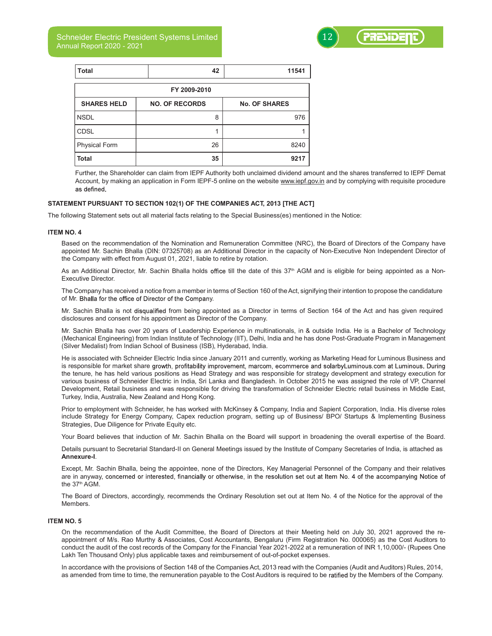Schneider Electric President Systems Limited Annual Report 2020 - 2021



| <b>Total</b>         | 42                    | 11541                |  |  |  |  |
|----------------------|-----------------------|----------------------|--|--|--|--|
| FY 2009-2010         |                       |                      |  |  |  |  |
| <b>SHARES HELD</b>   | <b>NO. OF RECORDS</b> | <b>No. OF SHARES</b> |  |  |  |  |
| <b>NSDL</b>          | 8                     | 976                  |  |  |  |  |
| <b>CDSL</b>          |                       |                      |  |  |  |  |
| <b>Physical Form</b> | 26                    | 8240                 |  |  |  |  |
| <b>Total</b>         | 35                    | 9217                 |  |  |  |  |

Further, the Shareholder can claim from IEPF Authority both unclaimed dividend amount and the shares transferred to IEPF Demat Account, by making an application in Form IEPF-5 online on the website www.iepf.gov.in and by complying with requisite procedure as defined.

### STATEMENT PURSUANT TO SECTION 102(1) OF THE COMPANIES ACT, 2013 [THE ACT]

The following Statement sets out all material facts relating to the Special Business(es) mentioned in the Notice:

#### ITEM NO. 4

Based on the recommendation of the Nomination and Remuneration Committee (NRC), the Board of Directors of the Company have appointed Mr. Sachin Bhalla (DIN: 07325708) as an Additional Director in the capacity of Non-Executive Non Independent Director of the Company with effect from August 01, 2021, liable to retire by rotation.

As an Additional Director, Mr. Sachin Bhalla holds office till the date of this 37<sup>th</sup> AGM and is eligible for being appointed as a Non-Executive Director.

The Company has received a notice from a member in terms of Section 160 of the Act, signifying their intention to propose the candidature of Mr. Bhalla for the office of Director of the Company.

Mr. Sachin Bhalla is not disqualified from being appointed as a Director in terms of Section 164 of the Act and has given required disclosures and consent for his appointment as Director of the Company.

Mr. Sachin Bhalla has over 20 years of Leadership Experience in multinationals, in & outside India. He is a Bachelor of Technology (Mechanical Engineering) from Indian Institute of Technology (IIT), Delhi, India and he has done Post-Graduate Program in Management (Silver Medalist) from Indian School of Business (ISB), Hyderabad, India.

He is associated with Schneider Electric India since January 2011 and currently, working as Marketing Head for Luminous Business and is responsible for market share growth, profitability improvement, marcom, ecommerce and solarbyLuminous.com at Luminous. During the tenure, he has held various positions as Head Strategy and was responsible for strategy development and strategy execution for various business of Schneider Electric in India, Sri Lanka and Bangladesh. In October 2015 he was assigned the role of VP, Channel Development, Retail business and was responsible for driving the transformation of Schneider Electric retail business in Middle East, Turkey, India, Australia, New Zealand and Hong Kong.

Prior to employment with Schneider, he has worked with McKinsey & Company, India and Sapient Corporation, India. His diverse roles include Strategy for Energy Company, Capex reduction program, setting up of Business/ BPO/ Startups & Implementing Business Strategies, Due Diligence for Private Equity etc.

Your Board believes that induction of Mr. Sachin Bhalla on the Board will support in broadening the overall expertise of the Board.

Details pursuant to Secretarial Standard-II on General Meetings issued by the Institute of Company Secretaries of India, is attached as Annexure-I.

Except, Mr. Sachin Bhalla, being the appointee, none of the Directors, Key Managerial Personnel of the Company and their relatives are in anyway, concerned or interested, financially or otherwise, in the resolution set out at Item No. 4 of the accompanying Notice of the 37th AGM.

The Board of Directors, accordingly, recommends the Ordinary Resolution set out at Item No. 4 of the Notice for the approval of the **Members** 

# ITEM NO. 5

On the recommendation of the Audit Committee, the Board of Directors at their Meeting held on July 30, 2021 approved the reappointment of M/s. Rao Murthy & Associates, Cost Accountants, Bengaluru (Firm Registration No. 000065) as the Cost Auditors to conduct the audit of the cost records of the Company for the Financial Year 2021-2022 at a remuneration of INR 1,10,000/- (Rupees One Lakh Ten Thousand Only) plus applicable taxes and reimbursement of out-of-pocket expenses.

In accordance with the provisions of Section 148 of the Companies Act, 2013 read with the Companies (Audit and Auditors) Rules, 2014, as amended from time to time, the remuneration payable to the Cost Auditors is required to be ratified by the Members of the Company.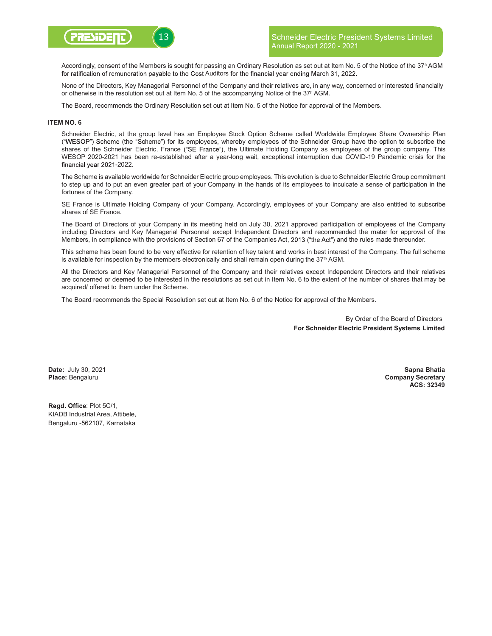

Accordingly, consent of the Members is sought for passing an Ordinary Resolution as set out at Item No. 5 of the Notice of the 37h AGM for ratification of remuneration payable to the Cost Auditors for the financial year ending March 31, 2022.

None of the Directors, Key Managerial Personnel of the Company and their relatives are, in any way, concerned or interested financially or otherwise in the resolution set out at Item No. 5 of the accompanying Notice of the 37h AGM.

The Board, recommends the Ordinary Resolution set out at Item No. 5 of the Notice for approval of the Members.

### ITEM NO. 6

Schneider Electric, at the group level has an Employee Stock Option Scheme called Worldwide Employee Share Ownership Plan ("WESOP") Scheme (the "Scheme") for its employees, whereby employees of the Schneider Group have the option to subscribe the shares of the Schneider Electric, France ("SE France"), the Ultimate Holding Company as employees of the group company. This WESOP 2020-2021 has been re-established after a year-long wait, exceptional interruption due COVID-19 Pandemic crisis for the financial year 2021-2022.

The Scheme is available worldwide for Schneider Electric group employees. This evolution is due to Schneider Electric Group commitment to step up and to put an even greater part of your Company in the hands of its employees to inculcate a sense of participation in the fortunes of the Company.

SE France is Ultimate Holding Company of your Company. Accordingly, employees of your Company are also entitled to subscribe shares of SE France.

The Board of Directors of your Company in its meeting held on July 30, 2021 approved participation of employees of the Company including Directors and Key Managerial Personnel except Independent Directors and recommended the mater for approval of the Members, in compliance with the provisions of Section 67 of the Companies Act, 2013 ("the Act") and the rules made thereunder.

This scheme has been found to be very effective for retention of key talent and works in best interest of the Company. The full scheme is available for inspection by the members electronically and shall remain open during the 37<sup>th</sup> AGM.

All the Directors and Key Managerial Personnel of the Company and their relatives except Independent Directors and their relatives are concerned or deemed to be interested in the resolutions as set out in Item No. 6 to the extent of the number of shares that may be acquired/ offered to them under the Scheme.

The Board recommends the Special Resolution set out at Item No. 6 of the Notice for approval of the Members.

By Order of the Board of Directors For Schneider Electric President Systems Limited

Date: July 30, 2021 Place: Bengaluru

Sapna Bhatia Company Secretary ACS: 32349

Regd. Office: Plot 5C/1, KIADB Industrial Area, Attibele, Bengaluru -562107, Karnataka